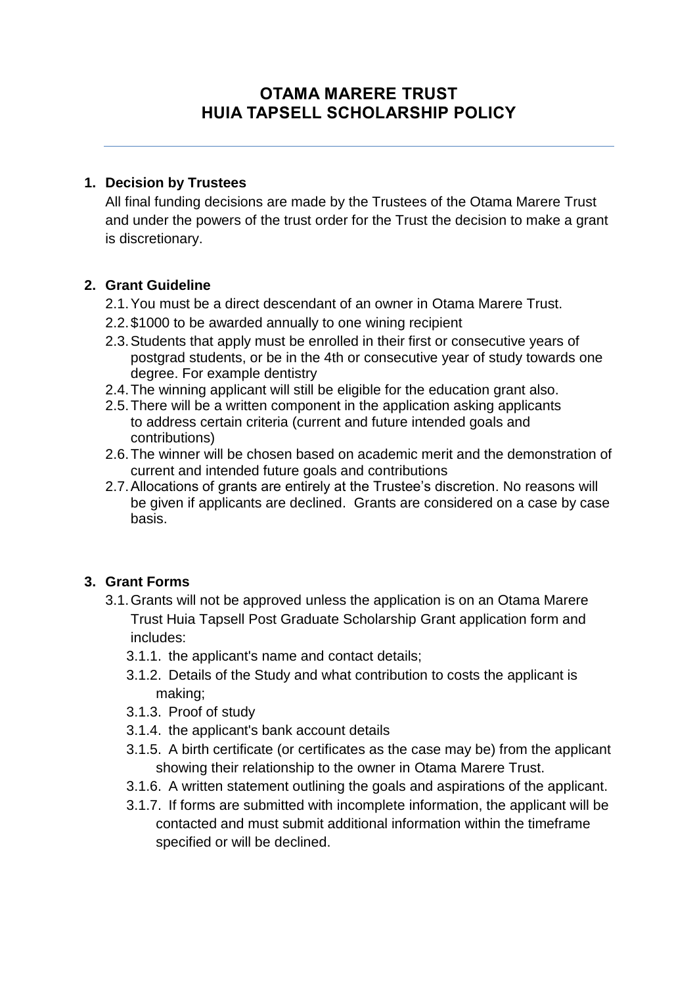# **OTAMA MARERE TRUST HUIA TAPSELL SCHOLARSHIP POLICY**

#### **1. Decision by Trustees**

All final funding decisions are made by the Trustees of the Otama Marere Trust and under the powers of the trust order for the Trust the decision to make a grant is discretionary.

#### **2. Grant Guideline**

- 2.1.You must be a direct descendant of an owner in Otama Marere Trust.
- 2.2.\$1000 to be awarded annually to one wining recipient
- 2.3.Students that apply must be enrolled in their first or consecutive years of postgrad students, or be in the 4th or consecutive year of study towards one degree. For example dentistry
- 2.4.The winning applicant will still be eligible for the education grant also.
- 2.5.There will be a written component in the application asking applicants to address certain criteria (current and future intended goals and contributions)
- 2.6.The winner will be chosen based on academic merit and the demonstration of current and intended future goals and contributions
- 2.7.Allocations of grants are entirely at the Trustee's discretion. No reasons will be given if applicants are declined. Grants are considered on a case by case basis.

#### **3. Grant Forms**

- 3.1.Grants will not be approved unless the application is on an Otama Marere Trust Huia Tapsell Post Graduate Scholarship Grant application form and includes:
	- 3.1.1. the applicant's name and contact details;
	- 3.1.2. Details of the Study and what contribution to costs the applicant is making;
	- 3.1.3. Proof of study
	- 3.1.4. the applicant's bank account details
	- 3.1.5. A birth certificate (or certificates as the case may be) from the applicant showing their relationship to the owner in Otama Marere Trust.
	- 3.1.6. A written statement outlining the goals and aspirations of the applicant.
	- 3.1.7. If forms are submitted with incomplete information, the applicant will be contacted and must submit additional information within the timeframe specified or will be declined.